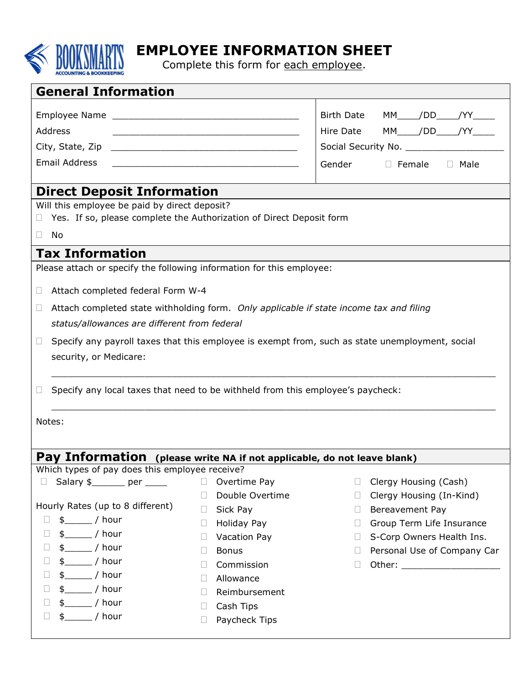

## EMPLOYEE INFORMATION SHEET

Complete this form for each employee.

| <b>General Information</b>                                                                                                      |                                              |                                                                                                 |  |  |  |  |  |  |
|---------------------------------------------------------------------------------------------------------------------------------|----------------------------------------------|-------------------------------------------------------------------------------------------------|--|--|--|--|--|--|
|                                                                                                                                 |                                              |                                                                                                 |  |  |  |  |  |  |
|                                                                                                                                 | <b>Birth Date</b><br>MM_____/DD_____/YY_____ |                                                                                                 |  |  |  |  |  |  |
| Address<br><u> 2000 - Jan James James Jan James James James James James James James James James James James James James Jam</u> | Hire Date MM____/DD____/YY____               |                                                                                                 |  |  |  |  |  |  |
|                                                                                                                                 |                                              |                                                                                                 |  |  |  |  |  |  |
| Email Address                                                                                                                   | Gender<br>$\Box$ Female $\Box$ Male          |                                                                                                 |  |  |  |  |  |  |
|                                                                                                                                 |                                              |                                                                                                 |  |  |  |  |  |  |
| <b>Direct Deposit Information</b>                                                                                               |                                              |                                                                                                 |  |  |  |  |  |  |
| Will this employee be paid by direct deposit?                                                                                   |                                              |                                                                                                 |  |  |  |  |  |  |
| Yes. If so, please complete the Authorization of Direct Deposit form<br>$\Box$                                                  |                                              |                                                                                                 |  |  |  |  |  |  |
| No<br>$\Box$                                                                                                                    |                                              |                                                                                                 |  |  |  |  |  |  |
| <b>Tax Information</b>                                                                                                          |                                              |                                                                                                 |  |  |  |  |  |  |
| Please attach or specify the following information for this employee:                                                           |                                              |                                                                                                 |  |  |  |  |  |  |
| Attach completed federal Form W-4<br>$\Box$                                                                                     |                                              |                                                                                                 |  |  |  |  |  |  |
|                                                                                                                                 |                                              |                                                                                                 |  |  |  |  |  |  |
| Attach completed state withholding form. Only applicable if state income tax and filing<br>$\Box$                               |                                              |                                                                                                 |  |  |  |  |  |  |
| status/allowances are different from federal                                                                                    |                                              |                                                                                                 |  |  |  |  |  |  |
| $\Box$                                                                                                                          |                                              | Specify any payroll taxes that this employee is exempt from, such as state unemployment, social |  |  |  |  |  |  |
| security, or Medicare:                                                                                                          |                                              |                                                                                                 |  |  |  |  |  |  |
|                                                                                                                                 |                                              |                                                                                                 |  |  |  |  |  |  |
| Specify any local taxes that need to be withheld from this employee's paycheck:<br>$\Box$                                       |                                              |                                                                                                 |  |  |  |  |  |  |
|                                                                                                                                 |                                              |                                                                                                 |  |  |  |  |  |  |
| Notes:                                                                                                                          |                                              |                                                                                                 |  |  |  |  |  |  |
|                                                                                                                                 |                                              |                                                                                                 |  |  |  |  |  |  |
| Pay Information (please write NA if not applicable, do not leave blank)                                                         |                                              |                                                                                                 |  |  |  |  |  |  |
| Which types of pay does this employee receive?                                                                                  |                                              |                                                                                                 |  |  |  |  |  |  |
| Salary $\frac{1}{2}$ per _____<br>$\Box$                                                                                        | $\Box$<br>Overtime Pay                       | Clergy Housing (Cash)<br>$\Box$                                                                 |  |  |  |  |  |  |
|                                                                                                                                 | Double Overtime<br>$\Box$                    | Clergy Housing (In-Kind)<br>$\Box$                                                              |  |  |  |  |  |  |
| Hourly Rates (up to 8 different)                                                                                                | Sick Pay<br>H                                | Bereavement Pay<br>$\Box$                                                                       |  |  |  |  |  |  |
| $\frac{1}{2}$ / hour<br>$\Box$                                                                                                  | Holiday Pay<br>$\Box$                        | Group Term Life Insurance<br>$\Box$                                                             |  |  |  |  |  |  |
| $\frac{1}{2}$ / hour<br>Ц                                                                                                       | Vacation Pay<br>$\Box$                       | S-Corp Owners Health Ins.<br>$\Box$                                                             |  |  |  |  |  |  |
| $\Box$<br>$$$ / hour                                                                                                            | <b>Bonus</b><br>$\Box$                       | Personal Use of Company Car<br>$\Box$                                                           |  |  |  |  |  |  |
| $\frac{1}{2}$ / hour<br>$\Box$<br>/ hour<br>$\Box$                                                                              | Commission<br>Ш                              | ⊔                                                                                               |  |  |  |  |  |  |
| $\Box$<br>_/ hour                                                                                                               | Allowance<br>$\Box$                          |                                                                                                 |  |  |  |  |  |  |
| $\frac{1}{2}$ / hour<br>$\Box$                                                                                                  | Reimbursement<br>$\Box$                      |                                                                                                 |  |  |  |  |  |  |
| $\frac{1}{2}$ hour<br>$\frac{1}{2}$<br>$\Box$                                                                                   | Cash Tips<br>$\mathbf{L}$                    |                                                                                                 |  |  |  |  |  |  |
|                                                                                                                                 | Paycheck Tips<br>$\Box$                      |                                                                                                 |  |  |  |  |  |  |